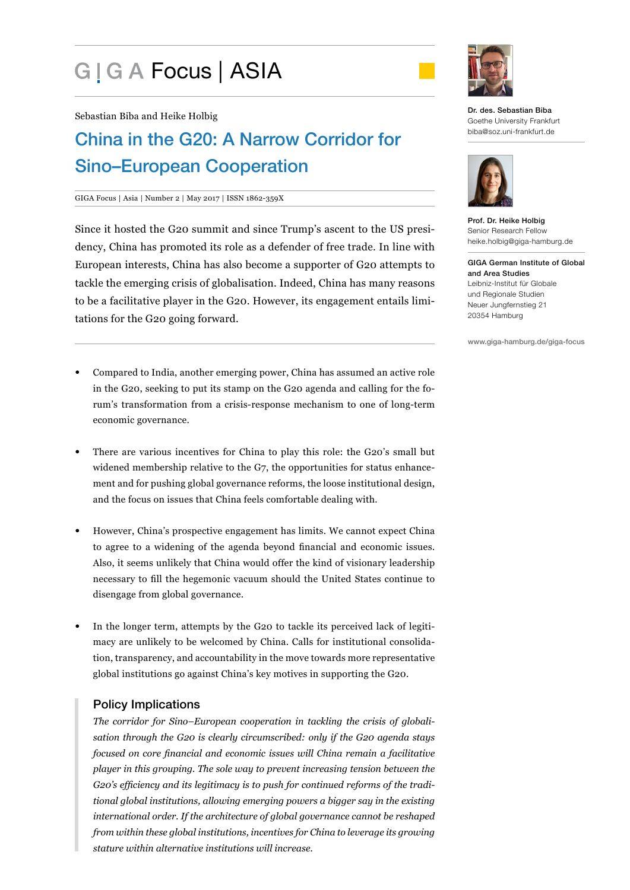# G | G A Focus | ASIA



Sebastian Biba and Heike Holbig

## China in the G20: A Narrow Corridor for Sino–European Cooperation

#### GIGA Focus | Asia | Number 2 | May 2017 | ISSN 1862-359X

Since it hosted the G20 summit and since Trump's ascent to the US presidency, China has promoted its role as a defender of free trade. In line with European interests, China has also become a supporter of G20 attempts to tackle the emerging crisis of globalisation. Indeed, China has many reasons to be a facilitative player in the G20. However, its engagement entails limitations for the G20 going forward.

- Compared to India, another emerging power, China has assumed an active role in the G20, seeking to put its stamp on the G20 agenda and calling for the forum's transformation from a crisis-response mechanism to one of long-term economic governance.
- There are various incentives for China to play this role: the G20's small but widened membership relative to the G7, the opportunities for status enhancement and for pushing global governance reforms, the loose institutional design, and the focus on issues that China feels comfortable dealing with.
- However, China's prospective engagement has limits. We cannot expect China to agree to a widening of the agenda beyond financial and economic issues. Also, it seems unlikely that China would offer the kind of visionary leadership necessary to fill the hegemonic vacuum should the United States continue to disengage from global governance.
- In the longer term, attempts by the G20 to tackle its perceived lack of legitimacy are unlikely to be welcomed by China. Calls for institutional consolidation, transparency, and accountability in the move towards more representative global institutions go against China's key motives in supporting the G20.

#### Policy Implications

*The corridor for Sino–European cooperation in tackling the crisis of globalisation through the G20 is clearly circumscribed: only if the G20 agenda stays focused on core financial and economic issues will China remain a facilitative player in this grouping. The sole way to prevent increasing tension between the G20's efficiency and its legitimacy is to push for continued reforms of the traditional global institutions, allowing emerging powers a bigger say in the existing international order. If the architecture of global governance cannot be reshaped from within these global institutions, incentives for China to leverage its growing stature within alternative institutions will increase.* 

Dr. des. Sebastian Biba Goethe University Frankfurt biba@soz.uni-frankfurt.de



Prof. Dr. Heike Holbig Senior Research Fellow heike.holbig@giga-hamburg.de

GIGA German Institute of Global and Area Studies Leibniz-Institut für Globale und Regionale Studien Neuer Jungfernstieg 21 20354 Hamburg

www.giga-hamburg.de/giga-focus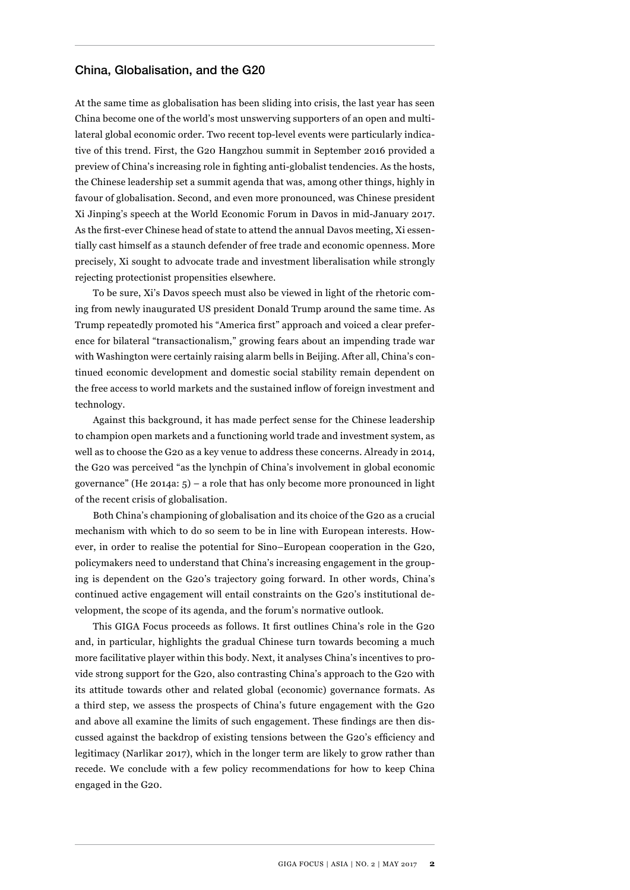#### China, Globalisation, and the G20

At the same time as globalisation has been sliding into crisis, the last year has seen China become one of the world's most unswerving supporters of an open and multilateral global economic order. Two recent top-level events were particularly indicative of this trend. First, the G20 Hangzhou summit in September 2016 provided a preview of China's increasing role in fighting anti-globalist tendencies. As the hosts, the Chinese leadership set a summit agenda that was, among other things, highly in favour of globalisation. Second, and even more pronounced, was Chinese president Xi Jinping's speech at the World Economic Forum in Davos in mid-January 2017. As the first-ever Chinese head of state to attend the annual Davos meeting, Xi essentially cast himself as a staunch defender of free trade and economic openness. More precisely, Xi sought to advocate trade and investment liberalisation while strongly rejecting protectionist propensities elsewhere.

To be sure, Xi's Davos speech must also be viewed in light of the rhetoric coming from newly inaugurated US president Donald Trump around the same time. As Trump repeatedly promoted his "America first" approach and voiced a clear preference for bilateral "transactionalism," growing fears about an impending trade war with Washington were certainly raising alarm bells in Beijing. After all, China's continued economic development and domestic social stability remain dependent on the free access to world markets and the sustained inflow of foreign investment and technology.

Against this background, it has made perfect sense for the Chinese leadership to champion open markets and a functioning world trade and investment system, as well as to choose the G20 as a key venue to address these concerns. Already in 2014, the G20 was perceived "as the lynchpin of China's involvement in global economic governance" (He 2014a:  $5$ ) – a role that has only become more pronounced in light of the recent crisis of globalisation.

Both China's championing of globalisation and its choice of the G20 as a crucial mechanism with which to do so seem to be in line with European interests. However, in order to realise the potential for Sino–European cooperation in the G20, policymakers need to understand that China's increasing engagement in the grouping is dependent on the G20's trajectory going forward. In other words, China's continued active engagement will entail constraints on the G20's institutional development, the scope of its agenda, and the forum's normative outlook.

This GIGA Focus proceeds as follows. It first outlines China's role in the G20 and, in particular, highlights the gradual Chinese turn towards becoming a much more facilitative player within this body. Next, it analyses China's incentives to provide strong support for the G20, also contrasting China's approach to the G20 with its attitude towards other and related global (economic) governance formats. As a third step, we assess the prospects of China's future engagement with the G20 and above all examine the limits of such engagement. These findings are then discussed against the backdrop of existing tensions between the G20's efficiency and legitimacy (Narlikar 2017), which in the longer term are likely to grow rather than recede. We conclude with a few policy recommendations for how to keep China engaged in the G20.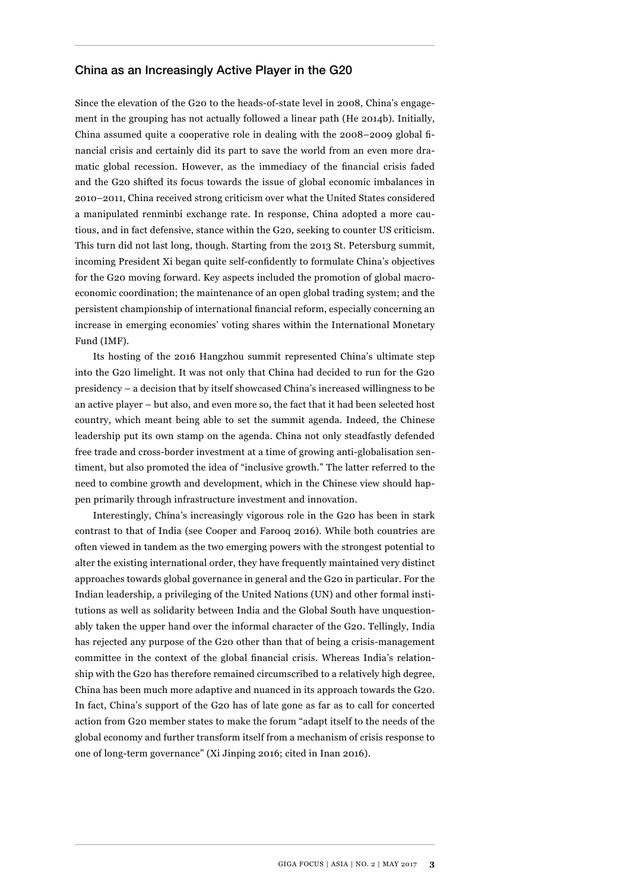#### China as an Increasingly Active Player in the G20

Since the elevation of the G20 to the heads-of-state level in 2008, China's engagement in the grouping has not actually followed a linear path (He 2014b). Initially, China assumed quite a cooperative role in dealing with the 2008–2009 global financial crisis and certainly did its part to save the world from an even more dramatic global recession. However, as the immediacy of the financial crisis faded and the G20 shifted its focus towards the issue of global economic imbalances in 2010–2011, China received strong criticism over what the United States considered a manipulated renminbi exchange rate. In response, China adopted a more cautious, and in fact defensive, stance within the G20, seeking to counter US criticism. This turn did not last long, though. Starting from the 2013 St. Petersburg summit, incoming President Xi began quite self-confidently to formulate China's objectives for the G20 moving forward. Key aspects included the promotion of global macroeconomic coordination; the maintenance of an open global trading system; and the persistent championship of international financial reform, especially concerning an increase in emerging economies' voting shares within the International Monetary Fund (IMF).

Its hosting of the 2016 Hangzhou summit represented China's ultimate step into the G20 limelight. It was not only that China had decided to run for the G20 presidency – a decision that by itself showcased China's increased willingness to be an active player – but also, and even more so, the fact that it had been selected host country, which meant being able to set the summit agenda. Indeed, the Chinese leadership put its own stamp on the agenda. China not only steadfastly defended free trade and cross-border investment at a time of growing anti-globalisation sentiment, but also promoted the idea of "inclusive growth." The latter referred to the need to combine growth and development, which in the Chinese view should happen primarily through infrastructure investment and innovation.

Interestingly, China's increasingly vigorous role in the G20 has been in stark contrast to that of India (see Cooper and Farooq 2016). While both countries are often viewed in tandem as the two emerging powers with the strongest potential to alter the existing international order, they have frequently maintained very distinct approaches towards global governance in general and the G20 in particular. For the Indian leadership, a privileging of the United Nations (UN) and other formal institutions as well as solidarity between India and the Global South have unquestionably taken the upper hand over the informal character of the G20. Tellingly, India has rejected any purpose of the G20 other than that of being a crisis-management committee in the context of the global financial crisis. Whereas India's relationship with the G20 has therefore remained circumscribed to a relatively high degree, China has been much more adaptive and nuanced in its approach towards the G20. In fact, China's support of the G20 has of late gone as far as to call for concerted action from G20 member states to make the forum "adapt itself to the needs of the global economy and further transform itself from a mechanism of crisis response to one of long-term governance" (Xi Jinping 2016; cited in Inan 2016).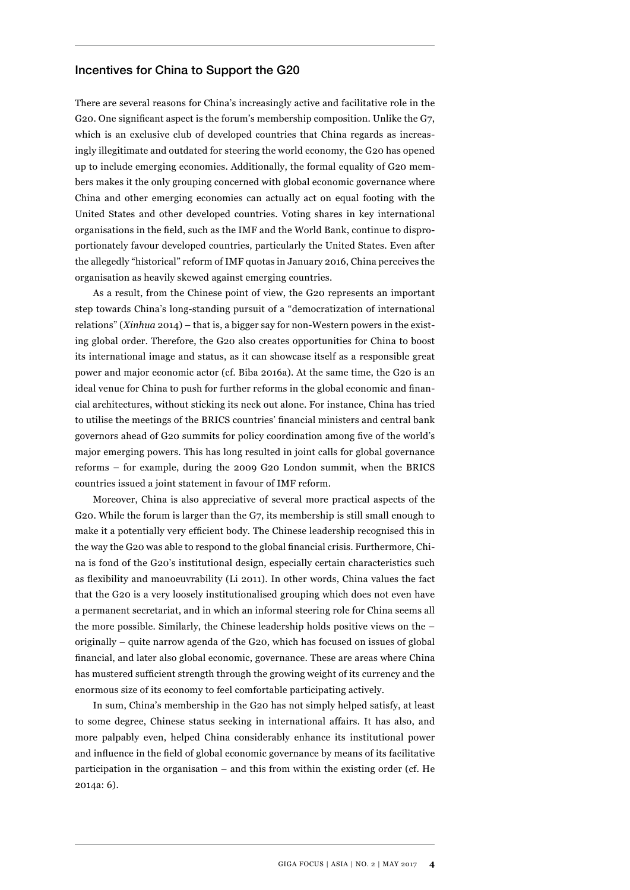#### Incentives for China to Support the G20

There are several reasons for China's increasingly active and facilitative role in the G20. One significant aspect is the forum's membership composition. Unlike the G7, which is an exclusive club of developed countries that China regards as increasingly illegitimate and outdated for steering the world economy, the G20 has opened up to include emerging economies. Additionally, the formal equality of G20 members makes it the only grouping concerned with global economic governance where China and other emerging economies can actually act on equal footing with the United States and other developed countries. Voting shares in key international organisations in the field, such as the IMF and the World Bank, continue to disproportionately favour developed countries, particularly the United States. Even after the allegedly "historical" reform of IMF quotas in January 2016, China perceives the organisation as heavily skewed against emerging countries.

As a result, from the Chinese point of view, the G20 represents an important step towards China's long-standing pursuit of a "democratization of international relations" (*Xinhua* 2014) – that is, a bigger say for non-Western powers in the existing global order. Therefore, the G20 also creates opportunities for China to boost its international image and status, as it can showcase itself as a responsible great power and major economic actor (cf. Biba 2016a). At the same time, the G20 is an ideal venue for China to push for further reforms in the global economic and financial architectures, without sticking its neck out alone. For instance, China has tried to utilise the meetings of the BRICS countries' financial ministers and central bank governors ahead of G20 summits for policy coordination among five of the world's major emerging powers. This has long resulted in joint calls for global governance reforms – for example, during the 2009 G20 London summit, when the BRICS countries issued a joint statement in favour of IMF reform.

Moreover, China is also appreciative of several more practical aspects of the G20. While the forum is larger than the G7, its membership is still small enough to make it a potentially very efficient body. The Chinese leadership recognised this in the way the G20 was able to respond to the global financial crisis. Furthermore, China is fond of the G20's institutional design, especially certain characteristics such as flexibility and manoeuvrability (Li 2011). In other words, China values the fact that the G20 is a very loosely institutionalised grouping which does not even have a permanent secretariat, and in which an informal steering role for China seems all the more possible. Similarly, the Chinese leadership holds positive views on the – originally – quite narrow agenda of the G20, which has focused on issues of global financial, and later also global economic, governance. These are areas where China has mustered sufficient strength through the growing weight of its currency and the enormous size of its economy to feel comfortable participating actively.

In sum, China's membership in the G20 has not simply helped satisfy, at least to some degree, Chinese status seeking in international affairs. It has also, and more palpably even, helped China considerably enhance its institutional power and influence in the field of global economic governance by means of its facilitative participation in the organisation – and this from within the existing order (cf. He 2014a: 6).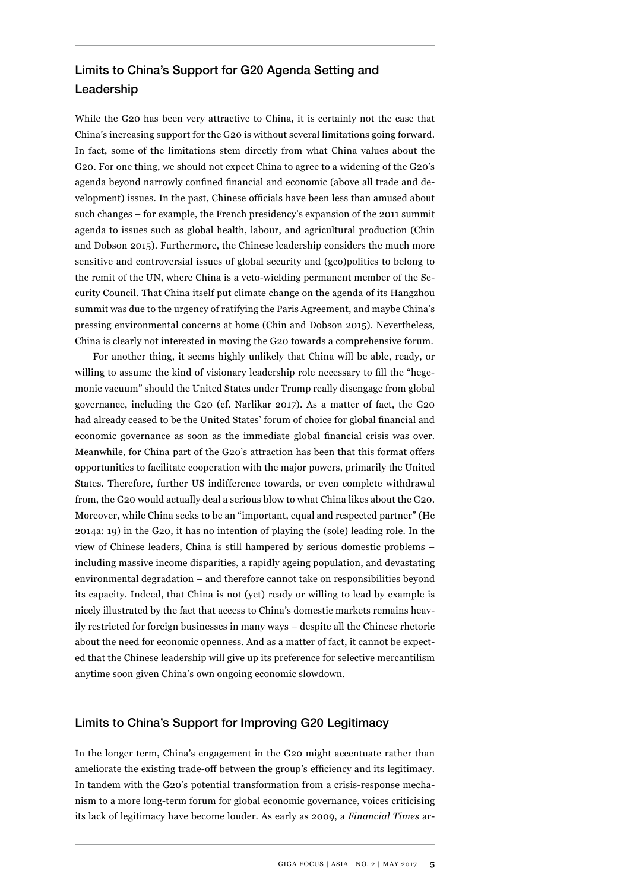### Limits to China's Support for G20 Agenda Setting and Leadership

While the G20 has been very attractive to China, it is certainly not the case that China's increasing support for the G20 is without several limitations going forward. In fact, some of the limitations stem directly from what China values about the G20. For one thing, we should not expect China to agree to a widening of the G20's agenda beyond narrowly confined financial and economic (above all trade and development) issues. In the past, Chinese officials have been less than amused about such changes – for example, the French presidency's expansion of the 2011 summit agenda to issues such as global health, labour, and agricultural production (Chin and Dobson 2015). Furthermore, the Chinese leadership considers the much more sensitive and controversial issues of global security and (geo)politics to belong to the remit of the UN, where China is a veto-wielding permanent member of the Security Council. That China itself put climate change on the agenda of its Hangzhou summit was due to the urgency of ratifying the Paris Agreement, and maybe China's pressing environmental concerns at home (Chin and Dobson 2015). Nevertheless, China is clearly not interested in moving the G20 towards a comprehensive forum.

For another thing, it seems highly unlikely that China will be able, ready, or willing to assume the kind of visionary leadership role necessary to fill the "hegemonic vacuum" should the United States under Trump really disengage from global governance, including the G20 (cf. Narlikar 2017). As a matter of fact, the G20 had already ceased to be the United States' forum of choice for global financial and economic governance as soon as the immediate global financial crisis was over. Meanwhile, for China part of the G20's attraction has been that this format offers opportunities to facilitate cooperation with the major powers, primarily the United States. Therefore, further US indifference towards, or even complete withdrawal from, the G20 would actually deal a serious blow to what China likes about the G20. Moreover, while China seeks to be an "important, equal and respected partner" (He 2014a: 19) in the G20, it has no intention of playing the (sole) leading role. In the view of Chinese leaders, China is still hampered by serious domestic problems – including massive income disparities, a rapidly ageing population, and devastating environmental degradation – and therefore cannot take on responsibilities beyond its capacity. Indeed, that China is not (yet) ready or willing to lead by example is nicely illustrated by the fact that access to China's domestic markets remains heavily restricted for foreign businesses in many ways – despite all the Chinese rhetoric about the need for economic openness. And as a matter of fact, it cannot be expected that the Chinese leadership will give up its preference for selective mercantilism anytime soon given China's own ongoing economic slowdown.

#### Limits to China's Support for Improving G20 Legitimacy

In the longer term, China's engagement in the G20 might accentuate rather than ameliorate the existing trade-off between the group's efficiency and its legitimacy. In tandem with the G20's potential transformation from a crisis-response mechanism to a more long-term forum for global economic governance, voices criticising its lack of legitimacy have become louder. As early as 2009, a *Financial Times* ar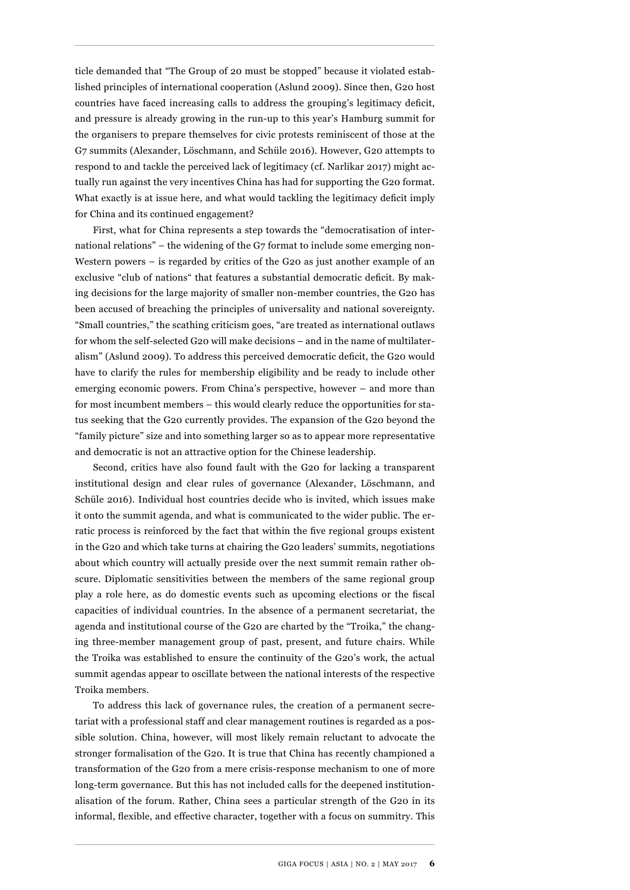ticle demanded that "The Group of 20 must be stopped" because it violated established principles of international cooperation (Aslund 2009). Since then, G20 host countries have faced increasing calls to address the grouping's legitimacy deficit, and pressure is already growing in the run-up to this year's Hamburg summit for the organisers to prepare themselves for civic protests reminiscent of those at the G7 summits (Alexander, Löschmann, and Schüle 2016). However, G20 attempts to respond to and tackle the perceived lack of legitimacy (cf. Narlikar 2017) might actually run against the very incentives China has had for supporting the G20 format. What exactly is at issue here, and what would tackling the legitimacy deficit imply for China and its continued engagement?

First, what for China represents a step towards the "democratisation of international relations" – the widening of the G7 format to include some emerging non-Western powers – is regarded by critics of the G20 as just another example of an exclusive "club of nations" that features a substantial democratic deficit. By making decisions for the large majority of smaller non-member countries, the G20 has been accused of breaching the principles of universality and national sovereignty. "Small countries," the scathing criticism goes, "are treated as international outlaws for whom the self-selected G20 will make decisions – and in the name of multilateralism" (Aslund 2009). To address this perceived democratic deficit, the G20 would have to clarify the rules for membership eligibility and be ready to include other emerging economic powers. From China's perspective, however – and more than for most incumbent members – this would clearly reduce the opportunities for status seeking that the G20 currently provides. The expansion of the G20 beyond the "family picture" size and into something larger so as to appear more representative and democratic is not an attractive option for the Chinese leadership.

Second, critics have also found fault with the G20 for lacking a transparent institutional design and clear rules of governance (Alexander, Löschmann, and Schüle 2016). Individual host countries decide who is invited, which issues make it onto the summit agenda, and what is communicated to the wider public. The erratic process is reinforced by the fact that within the five regional groups existent in the G20 and which take turns at chairing the G20 leaders' summits, negotiations about which country will actually preside over the next summit remain rather obscure. Diplomatic sensitivities between the members of the same regional group play a role here, as do domestic events such as upcoming elections or the fiscal capacities of individual countries. In the absence of a permanent secretariat, the agenda and institutional course of the G20 are charted by the "Troika," the changing three-member management group of past, present, and future chairs. While the Troika was established to ensure the continuity of the G20's work, the actual summit agendas appear to oscillate between the national interests of the respective Troika members.

To address this lack of governance rules, the creation of a permanent secretariat with a professional staff and clear management routines is regarded as a possible solution. China, however, will most likely remain reluctant to advocate the stronger formalisation of the G20. It is true that China has recently championed a transformation of the G20 from a mere crisis-response mechanism to one of more long-term governance. But this has not included calls for the deepened institutionalisation of the forum. Rather, China sees a particular strength of the G20 in its informal, flexible, and effective character, together with a focus on summitry. This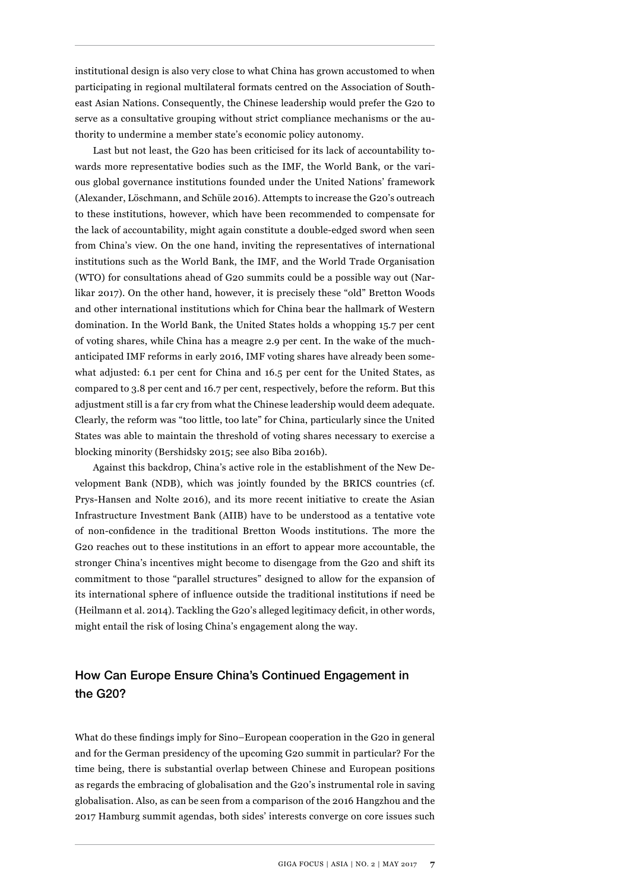institutional design is also very close to what China has grown accustomed to when participating in regional multilateral formats centred on the Association of Southeast Asian Nations. Consequently, the Chinese leadership would prefer the G20 to serve as a consultative grouping without strict compliance mechanisms or the authority to undermine a member state's economic policy autonomy.

Last but not least, the G20 has been criticised for its lack of accountability towards more representative bodies such as the IMF, the World Bank, or the various global governance institutions founded under the United Nations' framework (Alexander, Löschmann, and Schüle 2016). Attempts to increase the G20's outreach to these institutions, however, which have been recommended to compensate for the lack of accountability, might again constitute a double-edged sword when seen from China's view. On the one hand, inviting the representatives of international institutions such as the World Bank, the IMF, and the World Trade Organisation (WTO) for consultations ahead of G20 summits could be a possible way out (Narlikar 2017). On the other hand, however, it is precisely these "old" Bretton Woods and other international institutions which for China bear the hallmark of Western domination. In the World Bank, the United States holds a whopping 15.7 per cent of voting shares, while China has a meagre 2.9 per cent. In the wake of the muchanticipated IMF reforms in early 2016, IMF voting shares have already been somewhat adjusted: 6.1 per cent for China and 16.5 per cent for the United States, as compared to 3.8 per cent and 16.7 per cent, respectively, before the reform. But this adjustment still is a far cry from what the Chinese leadership would deem adequate. Clearly, the reform was "too little, too late" for China, particularly since the United States was able to maintain the threshold of voting shares necessary to exercise a blocking minority (Bershidsky 2015; see also Biba 2016b).

Against this backdrop, China's active role in the establishment of the New Development Bank (NDB), which was jointly founded by the BRICS countries (cf. Prys-Hansen and Nolte 2016), and its more recent initiative to create the Asian Infrastructure Investment Bank (AIIB) have to be understood as a tentative vote of non-confidence in the traditional Bretton Woods institutions. The more the G20 reaches out to these institutions in an effort to appear more accountable, the stronger China's incentives might become to disengage from the G20 and shift its commitment to those "parallel structures" designed to allow for the expansion of its international sphere of influence outside the traditional institutions if need be (Heilmann et al. 2014). Tackling the G20's alleged legitimacy deficit, in other words, might entail the risk of losing China's engagement along the way.

#### How Can Europe Ensure China's Continued Engagement in the G20?

What do these findings imply for Sino–European cooperation in the G20 in general and for the German presidency of the upcoming G20 summit in particular? For the time being, there is substantial overlap between Chinese and European positions as regards the embracing of globalisation and the G20's instrumental role in saving globalisation. Also, as can be seen from a comparison of the 2016 Hangzhou and the 2017 Hamburg summit agendas, both sides' interests converge on core issues such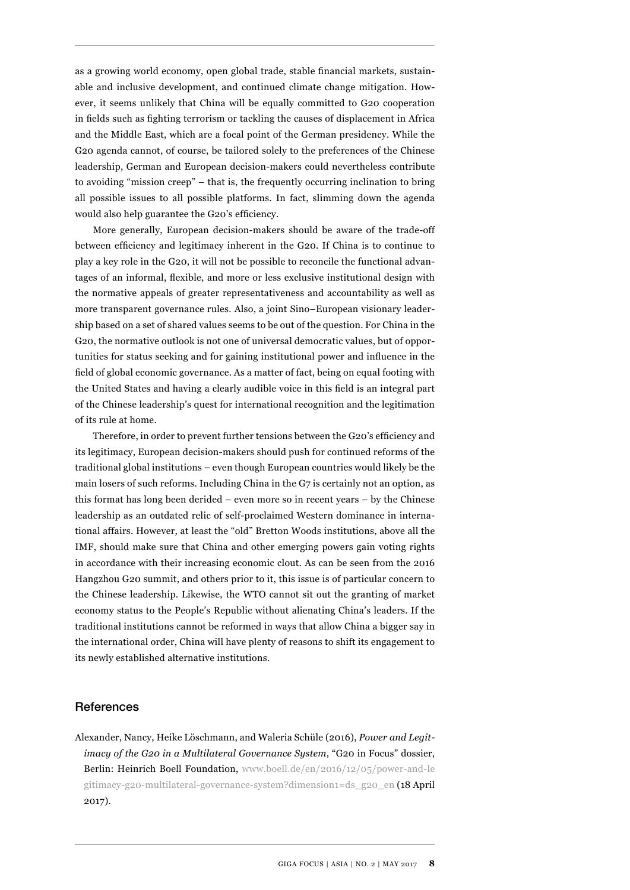as a growing world economy, open global trade, stable financial markets, sustainable and inclusive development, and continued climate change mitigation. However, it seems unlikely that China will be equally committed to G20 cooperation in fields such as fighting terrorism or tackling the causes of displacement in Africa and the Middle East, which are a focal point of the German presidency. While the G20 agenda cannot, of course, be tailored solely to the preferences of the Chinese leadership, German and European decision-makers could nevertheless contribute to avoiding "mission creep" – that is, the frequently occurring inclination to bring all possible issues to all possible platforms. In fact, slimming down the agenda would also help guarantee the G20's efficiency.

More generally, European decision-makers should be aware of the trade-off between efficiency and legitimacy inherent in the G20. If China is to continue to play a key role in the G20, it will not be possible to reconcile the functional advantages of an informal, flexible, and more or less exclusive institutional design with the normative appeals of greater representativeness and accountability as well as more transparent governance rules. Also, a joint Sino–European visionary leadership based on a set of shared values seems to be out of the question. For China in the G20, the normative outlook is not one of universal democratic values, but of opportunities for status seeking and for gaining institutional power and influence in the field of global economic governance. As a matter of fact, being on equal footing with the United States and having a clearly audible voice in this field is an integral part of the Chinese leadership's quest for international recognition and the legitimation of its rule at home.

Therefore, in order to prevent further tensions between the G20's efficiency and its legitimacy, European decision-makers should push for continued reforms of the traditional global institutions – even though European countries would likely be the main losers of such reforms. Including China in the G7 is certainly not an option, as this format has long been derided – even more so in recent years – by the Chinese leadership as an outdated relic of self-proclaimed Western dominance in international affairs. However, at least the "old" Bretton Woods institutions, above all the IMF, should make sure that China and other emerging powers gain voting rights in accordance with their increasing economic clout. As can be seen from the 2016 Hangzhou G20 summit, and others prior to it, this issue is of particular concern to the Chinese leadership. Likewise, the WTO cannot sit out the granting of market economy status to the People's Republic without alienating China's leaders. If the traditional institutions cannot be reformed in ways that allow China a bigger say in the international order, China will have plenty of reasons to shift its engagement to its newly established alternative institutions.

#### References

Alexander, Nancy, Heike Löschmann, and Waleria Schüle (2016), *Power and Legitimacy of the G20 in a Multilateral Governance System*, "G20 in Focus" dossier, Berlin: Heinrich Boell Foundation, [www.boell.de/en/2016/12/05/power-and-le](http://www.boell.de/en/2016/12/05/power-and-le
gitimacy-g20-multilateral-governance-system?dimension1=ds_g20_en) [gitimacy-g20-multilateral-governance-system?dimension1=ds\\_g20\\_en](http://www.boell.de/en/2016/12/05/power-and-le
gitimacy-g20-multilateral-governance-system?dimension1=ds_g20_en) (18 April 2017).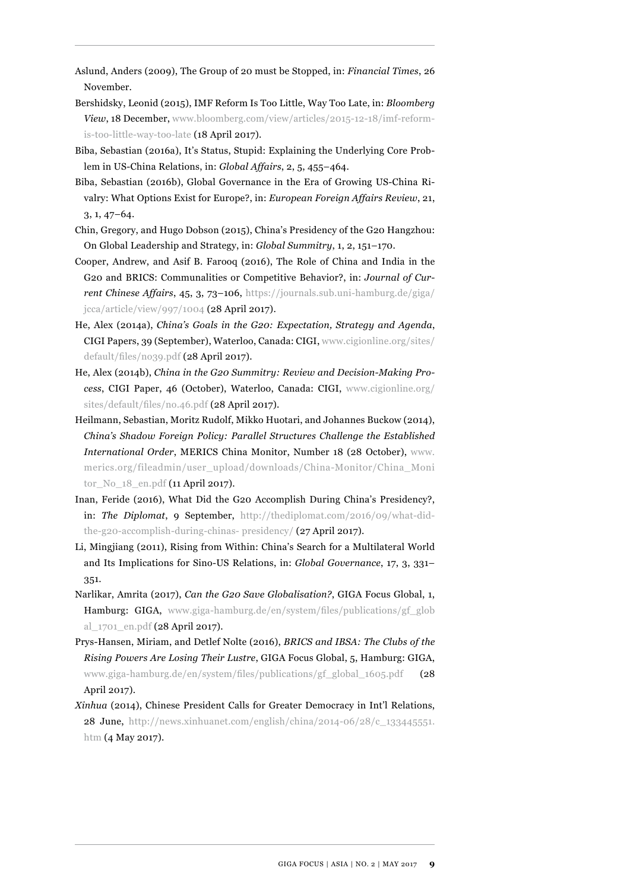- Aslund, Anders (2009), The Group of 20 must be Stopped, in: *Financial Times*, 26 November.
- Bershidsky, Leonid (2015), IMF Reform Is Too Little, Way Too Late, in: *Bloomberg View*, 18 December, [www.bloomberg.com/view/articles/2015-12-18/imf-reform](http://www.bloomberg.com/view/articles/2015-12-18/imf-reform-is-too-little-way-too-late)[is-too-little-way-too-late](http://www.bloomberg.com/view/articles/2015-12-18/imf-reform-is-too-little-way-too-late) (18 April 2017).
- Biba, Sebastian (2016a), It's Status, Stupid: Explaining the Underlying Core Problem in US-China Relations, in: *Global Affairs*, 2, 5, 455–464.
- Biba, Sebastian (2016b), Global Governance in the Era of Growing US-China Rivalry: What Options Exist for Europe?, in: *European Foreign Affairs Review*, 21, 3, 1, 47–64.
- Chin, Gregory, and Hugo Dobson (2015), China's Presidency of the G20 Hangzhou: On Global Leadership and Strategy, in: *Global Summitry*, 1, 2, 151–170.
- Cooper, Andrew, and Asif B. Farooq (2016), The Role of China and India in the G20 and BRICS: Communalities or Competitive Behavior?, in: *Journal of Current Chinese Affairs*, 45, 3, 73–106, [https://journals.sub.uni-hamburg.de/giga/](https://journals.sub.uni-hamburg.de/giga/jcca/article/view/997/1004) [jcca/article/view/997/1004](https://journals.sub.uni-hamburg.de/giga/jcca/article/view/997/1004) (28 April 2017).
- He, Alex (2014a), *China's Goals in the G20: Expectation, Strategy and Agenda*, CIGI Papers, 39 (September), Waterloo, Canada: CIGI, [www.cigionline.org/sites/](http://www.cigionline.org/sites/default/files/no39.pdf) [default/files/no39.pdf](http://www.cigionline.org/sites/default/files/no39.pdf) (28 April 2017).
- He, Alex (2014b), *China in the G20 Summitry: Review and Decision-Making Process*, CIGI Paper, 46 (October), Waterloo, Canada: CIGI, [www.cigionline.org/](http://www.cigionline.org/sites/default/files/no.46.pdf) [sites/default/files/no.46.pdf](http://www.cigionline.org/sites/default/files/no.46.pdf) (28 April 2017).
- Heilmann, Sebastian, Moritz Rudolf, Mikko Huotari, and Johannes Buckow (2014), *China's Shadow Foreign Policy: Parallel Structures Challenge the Established International Order*, MERICS China Monitor, Number 18 (28 October), [www.](http://www.merics.org/fileadmin/user_upload/downloads/China-Monitor/China_Moni
tor_No_18_en.pdf) [merics.org/fileadmin/user\\_upload/downloads/China-Monitor/China\\_Moni](http://www.merics.org/fileadmin/user_upload/downloads/China-Monitor/China_Moni
tor_No_18_en.pdf) tor No 18 en.pdf (11 April 2017).
- Inan, Feride (2016), What Did the G20 Accomplish During China's Presidency?, in: *The Diplomat*, 9 September, [http://thediplomat.com/2016/09/what-did](http://thediplomat.com/2016/09/what-did-the-g20-accomplish-during-chinas- presidency/)[the-g20-accomplish-during-chinas- presidency/](http://thediplomat.com/2016/09/what-did-the-g20-accomplish-during-chinas- presidency/) (27 April 2017).
- Li, Mingjiang (2011), Rising from Within: China's Search for a Multilateral World and Its Implications for Sino-US Relations, in: *Global Governance*, 17, 3, 331– 351.
- Narlikar, Amrita (2017), *Can the G20 Save Globalisation?*, GIGA Focus Global, 1, Hamburg: GIGA, [www.giga-hamburg.de/en/system/files/publications/gf\\_glob](http://www.giga-hamburg.de/en/system/files/publications/gf_glob
al_1701_en.pdf) [al\\_1701\\_en.pdf](http://www.giga-hamburg.de/en/system/files/publications/gf_glob
al_1701_en.pdf) (28 April 2017).
- Prys-Hansen, Miriam, and Detlef Nolte (2016), *BRICS and IBSA: The Clubs of the Rising Powers Are Losing Their Lustre*, GIGA Focus Global, 5, Hamburg: GIGA, [www.giga-hamburg.de/en/system/files/publications/gf\\_global\\_1605.pdf](http://www.giga-hamburg.de/en/system/files/publications/gf_global_1605.pdf) (28 April 2017).
- *Xinhua* (2014), Chinese President Calls for Greater Democracy in Int'l Relations, 28 June, [http://news.xinhuanet.com/english/china/2014-06/28/c\\_133445551.](http://news.xinhuanet.com/english/china/2014-06/28/c_133445551.htm ) [htm](http://news.xinhuanet.com/english/china/2014-06/28/c_133445551.htm ) (4 May 2017).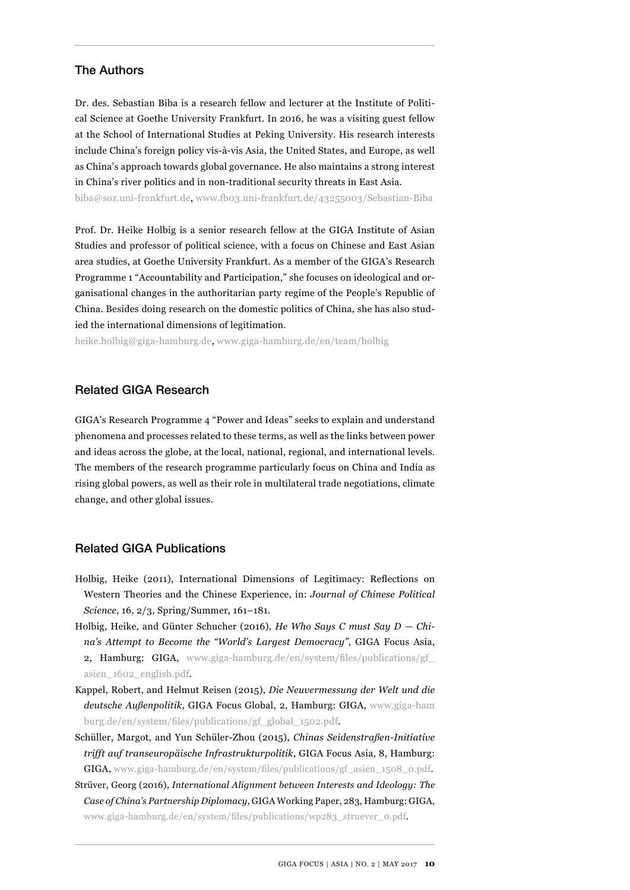#### The Authors

Dr. des. Sebastian Biba is a research fellow and lecturer at the Institute of Political Science at Goethe University Frankfurt. In 2016, he was a visiting guest fellow at the School of International Studies at Peking University. His research interests include China's foreign policy vis-à-vis Asia, the United States, and Europe, as well as China's approach towards global governance. He also maintains a strong interest in China's river politics and in non-traditional security threats in East Asia.

biba@soz.uni-frankfurt.de, www.fb03.uni-frankfurt.de/43255003/Sebastian-Biba

Prof. Dr. Heike Holbig is a senior research fellow at the GIGA Institute of Asian Studies and professor of political science, with a focus on Chinese and East Asian area studies, at Goethe University Frankfurt. As a member of the GIGA's Research Programme 1 "Accountability and Participation," she focuses on ideological and organisational changes in the authoritarian party regime of the People's Republic of China. Besides doing research on the domestic politics of China, she has also studied the international dimensions of legitimation.

heike.holbig@giga-hamburg.de, www.giga-hamburg.de/en/team/holbig

#### Related GIGA Research

GIGA's Research Programme 4 "Power and Ideas" seeks to explain and understand phenomena and processes related to these terms, as well as the links between power and ideas across the globe, at the local, national, regional, and international levels. The members of the research programme particularly focus on China and India as rising global powers, as well as their role in multilateral trade negotiations, climate change, and other global issues.

#### Related GIGA Publications

- Holbig, Heike (2011), International Dimensions of Legitimacy: Reflections on Western Theories and the Chinese Experience, in: *Journal of Chinese Political Science*, 16, 2/3, Spring/Summer, 161–181.
- Holbig, Heike, and Günter Schucher (2016), *He Who Says C must Say D China's Attempt to Become the "World's Largest Democracy"*, GIGA Focus Asia, 2, Hamburg: GIGA, [www.giga-hamburg.de/en/system/files/publications/gf\\_](http://www.giga-hamburg.de/en/system/files/publications/gf_asien_1602_english.pdf) [asien\\_1602\\_english.pdf.](http://www.giga-hamburg.de/en/system/files/publications/gf_asien_1602_english.pdf)
- Kappel, Robert, and Helmut Reisen (2015), *[Die Neuvermessung der Welt und die](https://www.giga-hamburg.de/de/publication/die-neuvermessung-der-welt-und-die-deutsche-au%C3%9Fenpolitik) [deutsche Außenpolitik](https://www.giga-hamburg.de/de/publication/die-neuvermessung-der-welt-und-die-deutsche-au%C3%9Fenpolitik)*, GIGA Focus Global, 2, Hamburg: GIGA, [www.giga-ham](http://www.giga-ham
burg.de/en/system/files/publications/gf_global_1502.pdf) [burg.de/en/system/files/publications/gf\\_global\\_1502.pdf](http://www.giga-ham
burg.de/en/system/files/publications/gf_global_1502.pdf).
- Schüller, Margot, and Yun Schüler-Zhou (2015), *Chinas Seidenstraßen-Initiative trifft auf transeuropäische Infrastrukturpolitik*, GIGA Focus Asia, 8, Hamburg: GIGA, [www.giga-hamburg.de/en/system/files/publications/gf\\_asien\\_1508\\_0.pdf](http://www.giga-hamburg.de/en/system/files/publications/gf_asien_1508_0.pdf).
- Strüver, Georg (2016), *International Alignment between Interests and Ideology: The Case of China's Partnership Diplomacy*, GIGA Working Paper, 283, Hamburg: GIGA, [www.giga-hamburg.de/en/system/files/publications/wp283\\_struever\\_0.pdf](http://www.giga-hamburg.de/en/system/files/publications/wp283_struever_0.pdf).